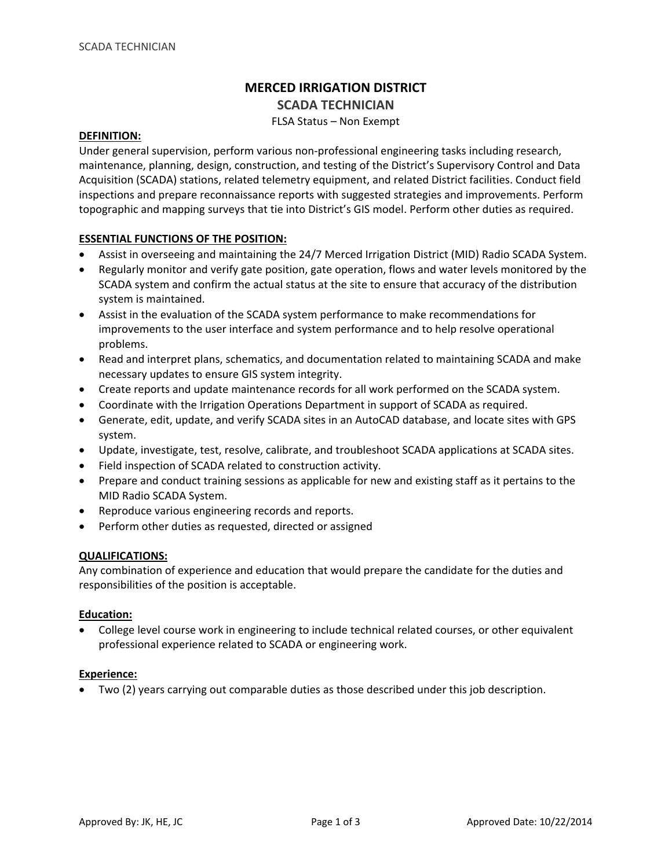# **MERCED IRRIGATION DISTRICT**

## **SCADA TECHNICIAN**

FLSA Status – Non Exempt

#### **DEFINITION:**

Under general supervision, perform various non‐professional engineering tasks including research, maintenance, planning, design, construction, and testing of the District's Supervisory Control and Data Acquisition (SCADA) stations, related telemetry equipment, and related District facilities. Conduct field inspections and prepare reconnaissance reports with suggested strategies and improvements. Perform topographic and mapping surveys that tie into District's GIS model. Perform other duties as required.

## **ESSENTIAL FUNCTIONS OF THE POSITION:**

- Assist in overseeing and maintaining the 24/7 Merced Irrigation District (MID) Radio SCADA System.
- Regularly monitor and verify gate position, gate operation, flows and water levels monitored by the SCADA system and confirm the actual status at the site to ensure that accuracy of the distribution system is maintained.
- Assist in the evaluation of the SCADA system performance to make recommendations for improvements to the user interface and system performance and to help resolve operational problems.
- Read and interpret plans, schematics, and documentation related to maintaining SCADA and make necessary updates to ensure GIS system integrity.
- Create reports and update maintenance records for all work performed on the SCADA system.
- Coordinate with the Irrigation Operations Department in support of SCADA as required.
- Generate, edit, update, and verify SCADA sites in an AutoCAD database, and locate sites with GPS system.
- Update, investigate, test, resolve, calibrate, and troubleshoot SCADA applications at SCADA sites.
- Field inspection of SCADA related to construction activity.
- Prepare and conduct training sessions as applicable for new and existing staff as it pertains to the MID Radio SCADA System.
- Reproduce various engineering records and reports.
- Perform other duties as requested, directed or assigned

### **QUALIFICATIONS:**

Any combination of experience and education that would prepare the candidate for the duties and responsibilities of the position is acceptable.

## **Education:**

• College level course work in engineering to include technical related courses, or other equivalent professional experience related to SCADA or engineering work.

### **Experience:**

• Two (2) years carrying out comparable duties as those described under this job description.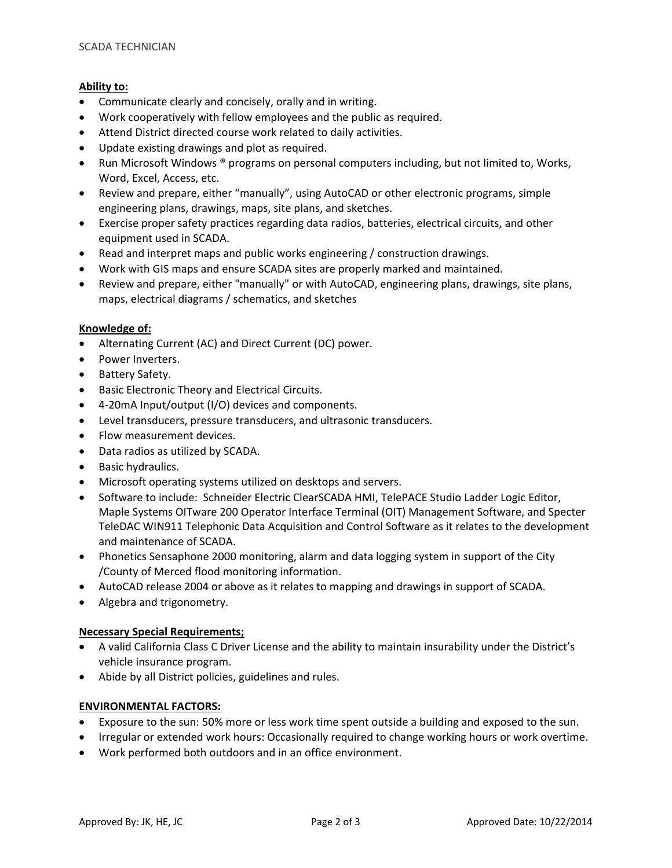## **Ability to:**

- Communicate clearly and concisely, orally and in writing.
- Work cooperatively with fellow employees and the public as required.
- Attend District directed course work related to daily activities.
- Update existing drawings and plot as required.
- Run Microsoft Windows ® programs on personal computers including, but not limited to, Works, Word, Excel, Access, etc.
- Review and prepare, either "manually", using AutoCAD or other electronic programs, simple engineering plans, drawings, maps, site plans, and sketches.
- Exercise proper safety practices regarding data radios, batteries, electrical circuits, and other equipment used in SCADA.
- Read and interpret maps and public works engineering / construction drawings.
- Work with GIS maps and ensure SCADA sites are properly marked and maintained.
- Review and prepare, either "manually" or with AutoCAD, engineering plans, drawings, site plans, maps, electrical diagrams / schematics, and sketches

## **Knowledge of:**

- Alternating Current (AC) and Direct Current (DC) power.
- Power Inverters.
- Battery Safety.
- Basic Electronic Theory and Electrical Circuits.
- 4‐20mA Input/output (I/O) devices and components.
- Level transducers, pressure transducers, and ultrasonic transducers.
- Flow measurement devices.
- Data radios as utilized by SCADA.
- Basic hydraulics.
- Microsoft operating systems utilized on desktops and servers.
- Software to include: Schneider Electric ClearSCADA HMI, TelePACE Studio Ladder Logic Editor, Maple Systems OITware 200 Operator Interface Terminal (OIT) Management Software, and Specter TeleDAC WIN911 Telephonic Data Acquisition and Control Software as it relates to the development and maintenance of SCADA.
- Phonetics Sensaphone 2000 monitoring, alarm and data logging system in support of the City /County of Merced flood monitoring information.
- AutoCAD release 2004 or above as it relates to mapping and drawings in support of SCADA.
- Algebra and trigonometry.

## **Necessary Special Requirements;**

- A valid California Class C Driver License and the ability to maintain insurability under the District's vehicle insurance program.
- Abide by all District policies, guidelines and rules.

### **ENVIRONMENTAL FACTORS:**

- Exposure to the sun: 50% more or less work time spent outside a building and exposed to the sun.
- Irregular or extended work hours: Occasionally required to change working hours or work overtime.
- Work performed both outdoors and in an office environment.